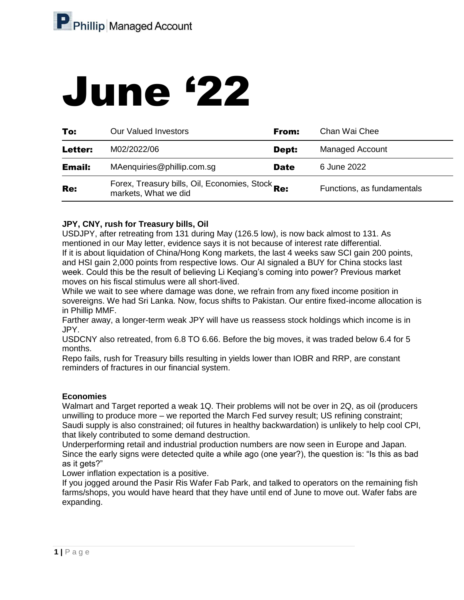# June '22

| To:            | <b>Our Valued Investors</b>                                              | From:       | Chan Wai Chee              |
|----------------|--------------------------------------------------------------------------|-------------|----------------------------|
| <b>Letter:</b> | M02/2022/06                                                              | Dept:       | <b>Managed Account</b>     |
| <b>Email:</b>  | MAenquiries@phillip.com.sg                                               | <b>Date</b> | 6 June 2022                |
| Re:            | Forex, Treasury bills, Oil, Economies, Stock Re:<br>markets, What we did |             | Functions, as fundamentals |

# **JPY, CNY, rush for Treasury bills, Oil**

USDJPY, after retreating from 131 during May (126.5 low), is now back almost to 131. As mentioned in our May letter, evidence says it is not because of interest rate differential. If it is about liquidation of China/Hong Kong markets, the last 4 weeks saw SCI gain 200 points, and HSI gain 2,000 points from respective lows. Our AI signaled a BUY for China stocks last week. Could this be the result of believing Li Keqiang's coming into power? Previous market moves on his fiscal stimulus were all short-lived.

While we wait to see where damage was done, we refrain from any fixed income position in sovereigns. We had Sri Lanka. Now, focus shifts to Pakistan. Our entire fixed-income allocation is in Phillip MMF.

Farther away, a longer-term weak JPY will have us reassess stock holdings which income is in JPY.

USDCNY also retreated, from 6.8 TO 6.66. Before the big moves, it was traded below 6.4 for 5 months.

Repo fails, rush for Treasury bills resulting in yields lower than IOBR and RRP, are constant reminders of fractures in our financial system.

## **Economies**

Walmart and Target reported a weak 1Q. Their problems will not be over in 2Q, as oil (producers unwilling to produce more – we reported the March Fed survey result; US refining constraint; Saudi supply is also constrained; oil futures in healthy backwardation) is unlikely to help cool CPI, that likely contributed to some demand destruction.

Underperforming retail and industrial production numbers are now seen in Europe and Japan. Since the early signs were detected quite a while ago (one year?), the question is: "Is this as bad as it gets?"

Lower inflation expectation is a positive.

If you jogged around the Pasir Ris Wafer Fab Park, and talked to operators on the remaining fish farms/shops, you would have heard that they have until end of June to move out. Wafer fabs are expanding.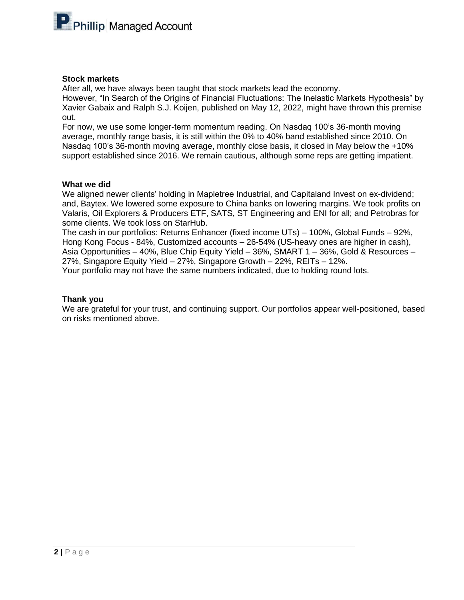

#### **Stock markets**

After all, we have always been taught that stock markets lead the economy.

However, "In Search of the Origins of Financial Fluctuations: The Inelastic Markets Hypothesis" by Xavier Gabaix and Ralph S.J. Koijen, published on May 12, 2022, might have thrown this premise out.

For now, we use some longer-term momentum reading. On Nasdaq 100's 36-month moving average, monthly range basis, it is still within the 0% to 40% band established since 2010. On Nasdaq 100's 36-month moving average, monthly close basis, it closed in May below the +10% support established since 2016. We remain cautious, although some reps are getting impatient.

### **What we did**

We aligned newer clients' holding in Mapletree Industrial, and Capitaland Invest on ex-dividend; and, Baytex. We lowered some exposure to China banks on lowering margins. We took profits on Valaris, Oil Explorers & Producers ETF, SATS, ST Engineering and ENI for all; and Petrobras for some clients. We took loss on StarHub.

The cash in our portfolios: Returns Enhancer (fixed income UTs) – 100%, Global Funds – 92%, Hong Kong Focus - 84%, Customized accounts – 26-54% (US-heavy ones are higher in cash), Asia Opportunities – 40%, Blue Chip Equity Yield – 36%, SMART 1 – 36%, Gold & Resources – 27%, Singapore Equity Yield – 27%, Singapore Growth – 22%, REITs – 12%. Your portfolio may not have the same numbers indicated, due to holding round lots.

#### **Thank you**

We are grateful for your trust, and continuing support. Our portfolios appear well-positioned, based on risks mentioned above.